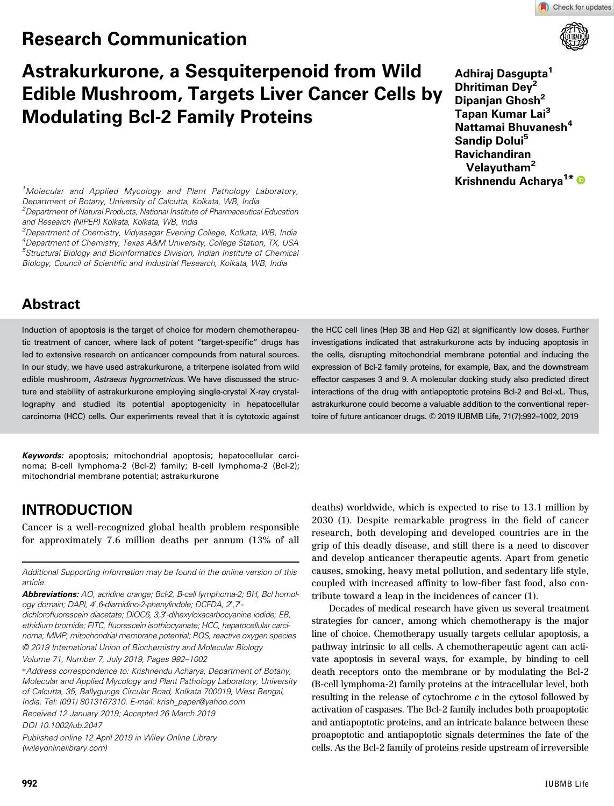# Research Communication





# Astrakurkurone, a Sesquiterpenoid from Wild Edible Mushroom, Targets Liver Cancer Cells by Modulating Bcl-2 Family Proteins

Adhiraj Dasgupta<sup>1</sup> Dhritiman Dev<sup>2</sup> Dipanjan Ghosh<sup>2</sup> Tapan Kumar Lai<sup>3</sup> Nattamai Bhuvanesh<sup>4</sup> Sandip Dolui<sup>5</sup> Ravichandiran Velayutham<sup>2</sup> Krishnendu Acharva<sup>1\*</sup>

<sup>1</sup>Molecular and Applied Mycology and Plant Pathology Laboratory, Department of Botany, University of Calcutta, Kolkata, WB, India <sup>2</sup>Department of Natural Products, National Institute of Pharmaceutical Education and Research (NIPER) Kolkata, Kolkata, WB, India

<sup>3</sup>Department of Chemistry, Vidyasagar Evening College, Kolkata, WB, India <sup>4</sup>Department of Chemistry, Texas A&M University, College Station, TX, USA <sup>5</sup>Structural Biology and Bioinformatics Division, Indian Institute of Chemical Biology, Council of Scientific and Industrial Research, Kolkata, WB, India

# Abstract

Induction of apoptosis is the target of choice for modern chemotherapeutic treatment of cancer, where lack of potent "target-specific" drugs has led to extensive research on anticancer compounds from natural sources. In our study, we have used astrakurkurone, a triterpene isolated from wild edible mushroom, *Astraeus hygrometricus*. We have discussed the structure and stability of astrakurkurone employing single-crystal X-ray crystallography and studied its potential apoptogenicity in hepatocellular carcinoma (HCC) cells. Our experiments reveal that it is cytotoxic against

Keywords: apoptosis; mitochondrial apoptosis; hepatocellular carcinoma; B-cell lymphoma-2 (Bcl-2) family; B-cell lymphoma-2 (Bcl-2); mitochondrial membrane potential; astrakurkurone

# INTRODUCTION

Cancer is a well-recognized global health problem responsible for approximately 7.6 million deaths per annum (13% of all

Additional Supporting Information may be found in the online version of this article.

Abbreviations: AO, acridine orange; Bcl-2, B-cell lymphoma-2; BH, Bcl homology domain; DAPI, 4',6-diamidino-2-phenylindole; DCFDA, 2,7-

dichlorofluorescein diacetate; DiOC6, 3,3-dihexyloxacarbocyanine iodide; EB, ethidium bromide; FITC, fluorescein isothiocyanate; HCC, hepatocellular carcinoma; MMP, mitochondrial membrane potential; ROS, reactive oxygen species © 2019 International Union of Biochemistry and Molecular Biology

Volume 71, Number 7, July 2019, Pages 992–1002

\*Address correspondence to: Krishnendu Acharya, Department of Botany, Molecular and Applied Mycology and Plant Pathology Laboratory, University of Calcutta, 35, Ballygunge Circular Road, Kolkata 700019, West Bengal, India. Tel: (091) 8013167310. E-mail: krish\_paper@yahoo.com

Received 12 January 2019; Accepted 26 March 2019

DOI 10.1002/iub.2047

Published online 12 April 2019 in Wiley Online Library (wileyonlinelibrary.com)

the HCC cell lines (Hep 3B and Hep G2) at significantly low doses. Further investigations indicated that astrakurkurone acts by inducing apoptosis in the cells, disrupting mitochondrial membrane potential and inducing the expression of Bcl-2 family proteins, for example, Bax, and the downstream effector caspases 3 and 9. A molecular docking study also predicted direct interactions of the drug with antiapoptotic proteins Bcl-2 and Bcl-xL. Thus, astrakurkurone could become a valuable addition to the conventional repertoire of future anticancer drugs. © 2019 IUBMB Life, 71(7):992–1002, 2019

deaths) worldwide, which is expected to rise to 13.1 million by 2030 (1). Despite remarkable progress in the field of cancer research, both developing and developed countries are in the grip of this deadly disease, and still there is a need to discover and develop anticancer therapeutic agents. Apart from genetic causes, smoking, heavy metal pollution, and sedentary life style, coupled with increased affinity to low-fiber fast food, also contribute toward a leap in the incidences of cancer (1).

Decades of medical research have given us several treatment strategies for cancer, among which chemotherapy is the major line of choice. Chemotherapy usually targets cellular apoptosis, a pathway intrinsic to all cells. A chemotherapeutic agent can activate apoptosis in several ways, for example, by binding to cell death receptors onto the membrane or by modulating the Bcl-2 (B-cell lymphoma-2) family proteins at the intracellular level, both resulting in the release of cytochrome  $c$  in the cytosol followed by activation of caspases. The Bcl-2 family includes both proapoptotic and antiapoptotic proteins, and an intricate balance between these proapoptotic and antiapoptotic signals determines the fate of the cells. As the Bcl-2 family of proteins reside upstream of irreversible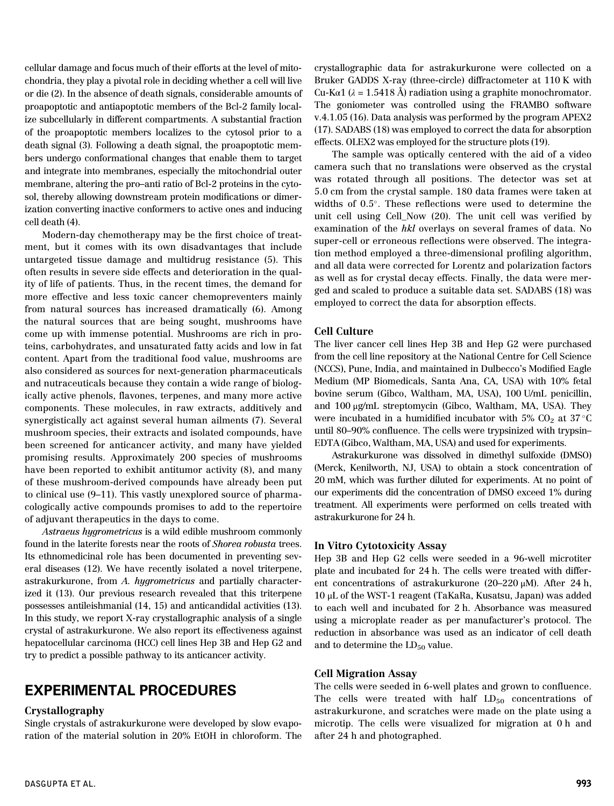cellular damage and focus much of their efforts at the level of mitochondria, they play a pivotal role in deciding whether a cell will live or die (2). In the absence of death signals, considerable amounts of proapoptotic and antiapoptotic members of the Bcl-2 family localize subcellularly in different compartments. A substantial fraction of the proapoptotic members localizes to the cytosol prior to a death signal (3). Following a death signal, the proapoptotic members undergo conformational changes that enable them to target and integrate into membranes, especially the mitochondrial outer membrane, altering the pro–anti ratio of Bcl-2 proteins in the cytosol, thereby allowing downstream protein modifications or dimerization converting inactive conformers to active ones and inducing cell death (4).

Modern-day chemotherapy may be the first choice of treatment, but it comes with its own disadvantages that include untargeted tissue damage and multidrug resistance (5). This often results in severe side effects and deterioration in the quality of life of patients. Thus, in the recent times, the demand for more effective and less toxic cancer chemopreventers mainly from natural sources has increased dramatically (6). Among the natural sources that are being sought, mushrooms have come up with immense potential. Mushrooms are rich in proteins, carbohydrates, and unsaturated fatty acids and low in fat content. Apart from the traditional food value, mushrooms are also considered as sources for next-generation pharmaceuticals and nutraceuticals because they contain a wide range of biologically active phenols, flavones, terpenes, and many more active components. These molecules, in raw extracts, additively and synergistically act against several human ailments (7). Several mushroom species, their extracts and isolated compounds, have been screened for anticancer activity, and many have yielded promising results. Approximately 200 species of mushrooms have been reported to exhibit antitumor activity  $(8)$ , and many of these mushroom-derived compounds have already been put to clinical use (9–11). This vastly unexplored source of pharmacologically active compounds promises to add to the repertoire of adjuvant therapeutics in the days to come.

Astraeus hygrometricus is a wild edible mushroom commonly found in the laterite forests near the roots of Shorea robusta trees. Its ethnomedicinal role has been documented in preventing several diseases (12). We have recently isolated a novel triterpene, astrakurkurone, from A. hygrometricus and partially characterized it (13). Our previous research revealed that this triterpene possesses antileishmanial (14, 15) and anticandidal activities (13). In this study, we report X-ray crystallographic analysis of a single crystal of astrakurkurone. We also report its effectiveness against hepatocellular carcinoma (HCC) cell lines Hep 3B and Hep G2 and try to predict a possible pathway to its anticancer activity.

# EXPERIMENTAL PROCEDURES

#### Crystallography

Single crystals of astrakurkurone were developed by slow evaporation of the material solution in 20% EtOH in chloroform. The crystallographic data for astrakurkurone were collected on a Bruker GADDS X-ray (three-circle) diffractometer at 110 K with Cu-K $\alpha$ 1 ( $\lambda$  = 1.5418 Å) radiation using a graphite monochromator. The goniometer was controlled using the FRAMBO software v.4.1.05 (16). Data analysis was performed by the program APEX2 (17). SADABS (18) was employed to correct the data for absorption effects. OLEX2 was employed for the structure plots (19).

The sample was optically centered with the aid of a video camera such that no translations were observed as the crystal was rotated through all positions. The detector was set at 5.0 cm from the crystal sample. 180 data frames were taken at widths of 0.5°. These reflections were used to determine the unit cell using Cell\_Now (20). The unit cell was verified by examination of the hkl overlays on several frames of data. No super-cell or erroneous reflections were observed. The integration method employed a three-dimensional profiling algorithm, and all data were corrected for Lorentz and polarization factors as well as for crystal decay effects. Finally, the data were merged and scaled to produce a suitable data set. SADABS (18) was employed to correct the data for absorption effects.

#### Cell Culture

The liver cancer cell lines Hep 3B and Hep G2 were purchased from the cell line repository at the National Centre for Cell Science (NCCS), Pune, India, and maintained in Dulbecco's Modified Eagle Medium (MP Biomedicals, Santa Ana, CA, USA) with 10% fetal bovine serum (Gibco, Waltham, MA, USA), 100 U/mL penicillin, and 100 μg/mL streptomycin (Gibco, Waltham, MA, USA). They were incubated in a humidified incubator with 5% CO<sub>2</sub> at 37  $^{\circ}{\rm C}$ until 80–90% confluence. The cells were trypsinized with trypsin– EDTA (Gibco, Waltham, MA, USA) and used for experiments.

Astrakurkurone was dissolved in dimethyl sulfoxide (DMSO) (Merck, Kenilworth, NJ, USA) to obtain a stock concentration of 20 mM, which was further diluted for experiments. At no point of our experiments did the concentration of DMSO exceed 1% during treatment. All experiments were performed on cells treated with astrakurkurone for 24 h.

#### In Vitro Cytotoxicity Assay

Hep 3B and Hep G2 cells were seeded in a 96-well microtiter plate and incubated for 24 h. The cells were treated with different concentrations of astrakurkurone (20–220 μM). After 24 h, 10 μL of the WST-1 reagent (TaKaRa, Kusatsu, Japan) was added to each well and incubated for 2 h. Absorbance was measured using a microplate reader as per manufacturer's protocol. The reduction in absorbance was used as an indicator of cell death and to determine the  $LD_{50}$  value.

#### Cell Migration Assay

The cells were seeded in 6-well plates and grown to confluence. The cells were treated with half  $LD_{50}$  concentrations of astrakurkurone, and scratches were made on the plate using a microtip. The cells were visualized for migration at 0 h and after 24 h and photographed.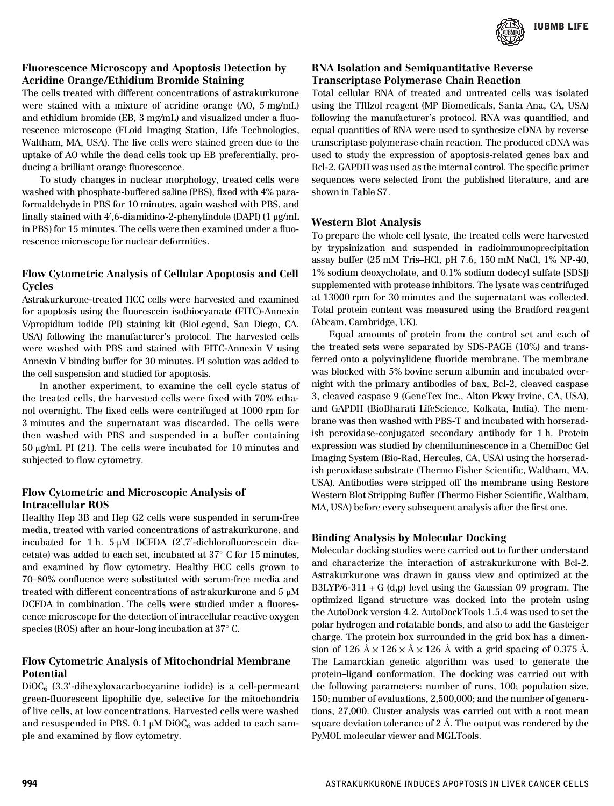

#### Fluorescence Microscopy and Apoptosis Detection by Acridine Orange/Ethidium Bromide Staining

The cells treated with different concentrations of astrakurkurone were stained with a mixture of acridine orange (AO, 5 mg/mL) and ethidium bromide (EB, 3 mg/mL) and visualized under a fluorescence microscope (FLoid Imaging Station, Life Technologies, Waltham, MA, USA). The live cells were stained green due to the uptake of AO while the dead cells took up EB preferentially, producing a brilliant orange fluorescence.

To study changes in nuclear morphology, treated cells were washed with phosphate-buffered saline (PBS), fixed with 4% paraformaldehyde in PBS for 10 minutes, again washed with PBS, and finally stained with  $4'$ ,6-diamidino-2-phenylindole (DAPI) (1 µg/mL in PBS) for 15 minutes. The cells were then examined under a fluorescence microscope for nuclear deformities.

#### Flow Cytometric Analysis of Cellular Apoptosis and Cell **Cycles**

Astrakurkurone-treated HCC cells were harvested and examined for apoptosis using the fluorescein isothiocyanate (FITC)-Annexin V/propidium iodide (PI) staining kit (BioLegend, San Diego, CA, USA) following the manufacturer's protocol. The harvested cells were washed with PBS and stained with FITC-Annexin V using Annexin V binding buffer for 30 minutes. PI solution was added to the cell suspension and studied for apoptosis.

In another experiment, to examine the cell cycle status of the treated cells, the harvested cells were fixed with 70% ethanol overnight. The fixed cells were centrifuged at 1000 rpm for 3 minutes and the supernatant was discarded. The cells were then washed with PBS and suspended in a buffer containing 50 μg/mL PI (21). The cells were incubated for 10 minutes and subjected to flow cytometry.

#### Flow Cytometric and Microscopic Analysis of Intracellular ROS

Healthy Hep 3B and Hep G2 cells were suspended in serum-free media, treated with varied concentrations of astrakurkurone, and incubated for 1 h. 5 μM DCFDA (2',7'-dichlorofluorescein diacetate) was added to each set, incubated at  $37^{\circ}$  C for 15 minutes, and examined by flow cytometry. Healthy HCC cells grown to 70–80% confluence were substituted with serum-free media and treated with different concentrations of astrakurkurone and 5 μM DCFDA in combination. The cells were studied under a fluorescence microscope for the detection of intracellular reactive oxygen species (ROS) after an hour-long incubation at  $37^{\circ}$  C.

#### Flow Cytometric Analysis of Mitochondrial Membrane Potential

 $DiOC<sub>6</sub>$  (3,3'-dihexyloxacarbocyanine iodide) is a cell-permeant green-fluorescent lipophilic dye, selective for the mitochondria of live cells, at low concentrations. Harvested cells were washed and resuspended in PBS. 0.1  $\mu$ M DiOC<sub>6</sub> was added to each sample and examined by flow cytometry.

#### RNA Isolation and Semiquantitative Reverse Transcriptase Polymerase Chain Reaction

Total cellular RNA of treated and untreated cells was isolated using the TRIzol reagent (MP Biomedicals, Santa Ana, CA, USA) following the manufacturer's protocol. RNA was quantified, and equal quantities of RNA were used to synthesize cDNA by reverse transcriptase polymerase chain reaction. The produced cDNA was used to study the expression of apoptosis-related genes bax and Bcl-2. GAPDH was used as the internal control. The specific primer sequences were selected from the published literature, and are shown in Table S7.

#### Western Blot Analysis

To prepare the whole cell lysate, the treated cells were harvested by trypsinization and suspended in radioimmunoprecipitation assay buffer (25 mM Tris–HCl, pH 7.6, 150 mM NaCl, 1% NP-40, 1% sodium deoxycholate, and 0.1% sodium dodecyl sulfate [SDS]) supplemented with protease inhibitors. The lysate was centrifuged at 13000 rpm for 30 minutes and the supernatant was collected. Total protein content was measured using the Bradford reagent (Abcam, Cambridge, UK).

Equal amounts of protein from the control set and each of the treated sets were separated by SDS-PAGE (10%) and transferred onto a polyvinylidene fluoride membrane. The membrane was blocked with 5% bovine serum albumin and incubated overnight with the primary antibodies of bax, Bcl-2, cleaved caspase 3, cleaved caspase 9 (GeneTex Inc., Alton Pkwy Irvine, CA, USA), and GAPDH (BioBharati LifeScience, Kolkata, India). The membrane was then washed with PBS-T and incubated with horseradish peroxidase-conjugated secondary antibody for 1 h. Protein expression was studied by chemiluminescence in a ChemiDoc Gel Imaging System (Bio-Rad, Hercules, CA, USA) using the horseradish peroxidase substrate (Thermo Fisher Scientific, Waltham, MA, USA). Antibodies were stripped off the membrane using Restore Western Blot Stripping Buffer (Thermo Fisher Scientific, Waltham, MA, USA) before every subsequent analysis after the first one.

#### Binding Analysis by Molecular Docking

Molecular docking studies were carried out to further understand and characterize the interaction of astrakurkurone with Bcl-2. Astrakurkurone was drawn in gauss view and optimized at the B3LYP/6-311 + G  $(d,p)$  level using the Gaussian 09 program. The optimized ligand structure was docked into the protein using the AutoDock version 4.2. AutoDockTools 1.5.4 was used to set the polar hydrogen and rotatable bonds, and also to add the Gasteiger charge. The protein box surrounded in the grid box has a dimension of 126 Å  $\times$  126  $\times$  Å  $\times$  126 Å with a grid spacing of 0.375 Å. The Lamarckian genetic algorithm was used to generate the protein–ligand conformation. The docking was carried out with the following parameters: number of runs, 100; population size, 150; number of evaluations, 2,500,000; and the number of generations, 27,000. Cluster analysis was carried out with a root mean square deviation tolerance of 2 Å. The output was rendered by the PyMOL molecular viewer and MGLTools.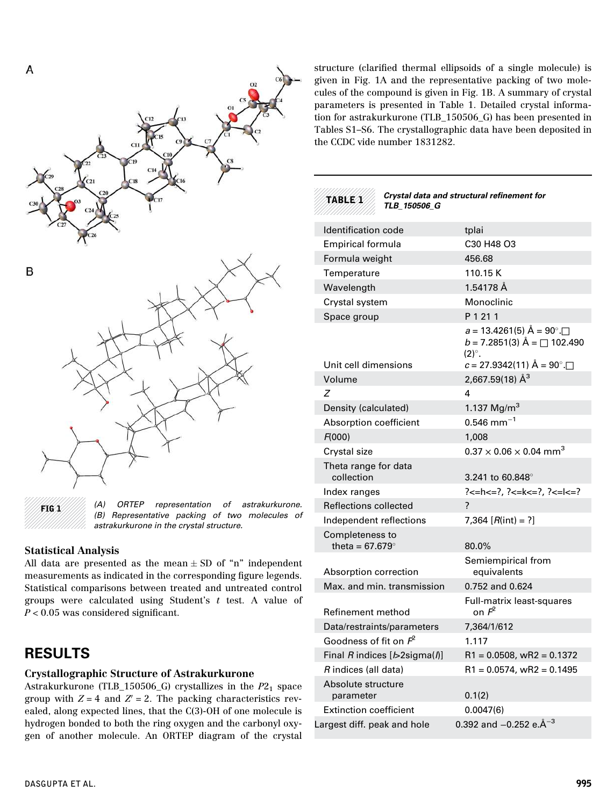

FIG 1 *(A) ORTEP representation of astrakurkurone. (B) Representative packing of two molecules of astrakurkurone in the crystal structure.*

#### Statistical Analysis

All data are presented as the mean  $\pm$  SD of "n" independent measurements as indicated in the corresponding figure legends. Statistical comparisons between treated and untreated control groups were calculated using Student's t test. A value of  $P < 0.05$  was considered significant.

# RESULTS

#### Crystallographic Structure of Astrakurkurone

Astrakurkurone (TLB\_150506\_G) crystallizes in the  $P2<sub>1</sub>$  space group with  $Z = 4$  and  $Z' = 2$ . The packing characteristics revealed, along expected lines, that the C(3)-OH of one molecule is hydrogen bonded to both the ring oxygen and the carbonyl oxygen of another molecule. An ORTEP diagram of the crystal

structure (clarified thermal ellipsoids of a single molecule) is given in Fig. 1A and the representative packing of two molecules of the compound is given in Fig. 1B. A summary of crystal parameters is presented in Table 1. Detailed crystal information for astrakurkurone (TLB\_150506\_G) has been presented in Tables S1–S6. The crystallographic data have been deposited in the CCDC vide number 1831282.



Crystal data and structural refinement for TLB\_150506\_G

| Identification code                       | tplai                                                                                                                                      |
|-------------------------------------------|--------------------------------------------------------------------------------------------------------------------------------------------|
| <b>Empirical formula</b>                  | C30 H48 O3                                                                                                                                 |
| Formula weight                            | 456.68                                                                                                                                     |
| Temperature                               | 110.15 K                                                                                                                                   |
| Wavelength                                | 1.54178 Å                                                                                                                                  |
| Crystal system                            | Monoclinic                                                                                                                                 |
| Space group                               | P 1 21 1                                                                                                                                   |
| Unit cell dimensions                      | $a = 13.4261(5)$ $\AA = 90^{\circ}$ $\Box$<br>$b = 7.2851(3)$ $\mathring{A} = \Box$ 102.490<br>$(2)^\circ$ .<br>$c = 27.9342(11)$ Å = 90°. |
| Volume                                    | 2,667.59(18) Å <sup>3</sup>                                                                                                                |
| Z                                         | 4                                                                                                                                          |
| Density (calculated)                      | 1.137 $Mg/m3$                                                                                                                              |
| Absorption coefficient                    | $0.546$ mm <sup>-1</sup>                                                                                                                   |
| F(000)                                    | 1,008                                                                                                                                      |
| Crystal size                              | $0.37 \times 0.06 \times 0.04$ mm <sup>3</sup>                                                                                             |
| Theta range for data<br>collection        | 3.241 to 60.848 $^{\circ}$                                                                                                                 |
| Index ranges                              | ?<=h<=?, ?<=k<=?, ?<=l<=?                                                                                                                  |
| Reflections collected                     | $\overline{?}$                                                                                                                             |
| Independent reflections                   | 7,364 $[R(int) = ?]$                                                                                                                       |
| Completeness to<br>theta = $67.679^\circ$ | 80.0%                                                                                                                                      |
| Absorption correction                     | Semiempirical from<br>equivalents                                                                                                          |
| Max, and min, transmission                | 0.752 and 0.624                                                                                                                            |
| Refinement method                         | Full-matrix least-squares<br>on $\mathsf{F}^2$                                                                                             |
| Data/restraints/parameters                | 7,364/1/612                                                                                                                                |
| Goodness of fit on $F^2$                  | 1.117                                                                                                                                      |
| Final R indices [b2sigma(l)]              | $R1 = 0.0508$ , wR2 = 0.1372                                                                                                               |
| R indices (all data)                      | $R1 = 0.0574$ , wR2 = 0.1495                                                                                                               |
| Absolute structure<br>parameter           | 0.1(2)                                                                                                                                     |
| <b>Extinction coefficient</b>             | 0.0047(6)                                                                                                                                  |
| Largest diff. peak and hole               | 0.392 and $-0.252$ e. $\AA^{-3}$                                                                                                           |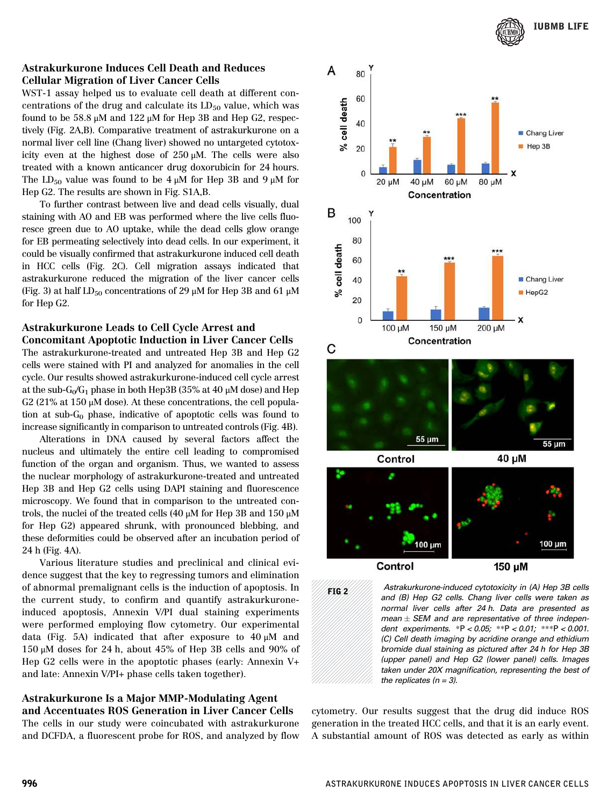

#### Astrakurkurone Induces Cell Death and Reduces Cellular Migration of Liver Cancer Cells

WST-1 assay helped us to evaluate cell death at different concentrations of the drug and calculate its  $LD_{50}$  value, which was found to be 58.8 μM and 122 μM for Hep 3B and Hep G2, respectively (Fig. 2A,B). Comparative treatment of astrakurkurone on a normal liver cell line (Chang liver) showed no untargeted cytotoxicity even at the highest dose of 250 μM. The cells were also treated with a known anticancer drug doxorubicin for 24 hours. The LD<sub>50</sub> value was found to be  $4 \mu$ M for Hep 3B and  $9 \mu$ M for Hep G2. The results are shown in Fig. S1A,B.

To further contrast between live and dead cells visually, dual staining with AO and EB was performed where the live cells fluoresce green due to AO uptake, while the dead cells glow orange for EB permeating selectively into dead cells. In our experiment, it could be visually confirmed that astrakurkurone induced cell death in HCC cells (Fig. 2C). Cell migration assays indicated that astrakurkurone reduced the migration of the liver cancer cells (Fig. 3) at half  $LD_{50}$  concentrations of 29 μM for Hep 3B and 61 μM for Hep G2.

#### Astrakurkurone Leads to Cell Cycle Arrest and Concomitant Apoptotic Induction in Liver Cancer Cells

The astrakurkurone-treated and untreated Hep 3B and Hep G2 cells were stained with PI and analyzed for anomalies in the cell cycle. Our results showed astrakurkurone-induced cell cycle arrest at the sub- $G_0/G_1$  phase in both Hep3B (35% at 40  $\mu$ M dose) and Hep G2 (21% at 150  $\mu$ M dose). At these concentrations, the cell population at sub- $G_0$  phase, indicative of apoptotic cells was found to increase significantly in comparison to untreated controls (Fig. 4B).

Alterations in DNA caused by several factors affect the nucleus and ultimately the entire cell leading to compromised function of the organ and organism. Thus, we wanted to assess the nuclear morphology of astrakurkurone-treated and untreated Hep 3B and Hep G2 cells using DAPI staining and fluorescence microscopy. We found that in comparison to the untreated controls, the nuclei of the treated cells (40 μM for Hep 3B and 150 μM for Hep G2) appeared shrunk, with pronounced blebbing, and these deformities could be observed after an incubation period of 24 h (Fig. 4A).

Various literature studies and preclinical and clinical evidence suggest that the key to regressing tumors and elimination of abnormal premalignant cells is the induction of apoptosis. In the current study, to confirm and quantify astrakurkuroneinduced apoptosis, Annexin V/PI dual staining experiments were performed employing flow cytometry. Our experimental data (Fig. 5A) indicated that after exposure to 40 μM and 150 μM doses for 24 h, about 45% of Hep 3B cells and 90% of Hep G2 cells were in the apoptotic phases (early: Annexin V+ and late: Annexin V/PI+ phase cells taken together).

#### Astrakurkurone Is a Major MMP-Modulating Agent and Accentuates ROS Generation in Liver Cancer Cells

The cells in our study were coincubated with astrakurkurone and DCFDA, a fluorescent probe for ROS, and analyzed by flow



| FIG 2 | Astrakurkurone-induced cytotoxicity in (A) Hep 3B cells |
|-------|---------------------------------------------------------|
|       | and (B) Hep G2 cells. Chang liver cells were taken as   |
|       | normal liver cells after 24 h. Data are presented as    |
|       | mean $\pm$ SEM and are representative of three indepen- |
|       | dent experiments. *P < 0.05; **P < 0.01; ***P < 0.001.  |
|       | (C) Cell death imaging by acridine orange and ethidium  |
|       | bromide dual staining as pictured after 24 h for Hep 3B |
|       | (upper panel) and Hep G2 (lower panel) cells. Images    |
|       | taken under 20X magnification, representing the best of |
|       | the replicates $(n = 3)$ .                              |

cytometry. Our results suggest that the drug did induce ROS generation in the treated HCC cells, and that it is an early event. A substantial amount of ROS was detected as early as within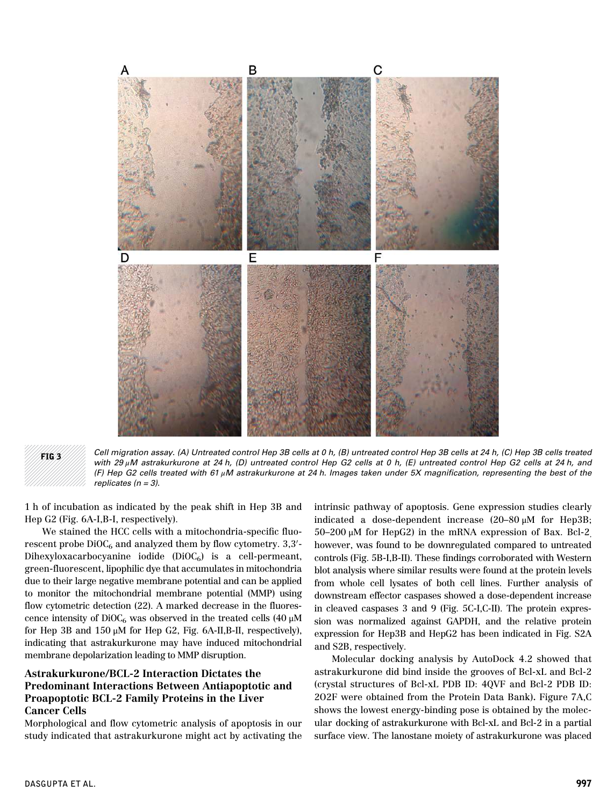

FIG 3 *Cell migration assay. (A) Untreated control Hep 3B cells at 0 h, (B) untreated control Hep 3B cells at 24 h, (C) Hep 3B cells treated with 29* μ*M astrakurkurone at 24 h, (D) untreated control Hep G2 cells at 0 h, (E) untreated control Hep G2 cells at 24 h, and (F) Hep G2 cells treated with 61* μ*M astrakurkurone at 24 h. Images taken under 5X magni*fi*cation, representing the best of the replicates (n = 3).*

1 h of incubation as indicated by the peak shift in Hep 3B and Hep G2 (Fig. 6A-I,B-I, respectively).

We stained the HCC cells with a mitochondria-specific fluo $r$ escent probe  $DiOC_6$  and analyzed them by flow cytometry. 3,3'-Dihexyloxacarbocyanine iodide  $(DiOC<sub>6</sub>)$  is a cell-permeant, green-fluorescent, lipophilic dye that accumulates in mitochondria due to their large negative membrane potential and can be applied to monitor the mitochondrial membrane potential (MMP) using flow cytometric detection (22). A marked decrease in the fluorescence intensity of  $DiOC_6$  was observed in the treated cells (40  $\mu$ M for Hep 3B and 150 μM for Hep G2, Fig. 6A-II,B-II, respectively), indicating that astrakurkurone may have induced mitochondrial membrane depolarization leading to MMP disruption.

#### Astrakurkurone/BCL-2 Interaction Dictates the Predominant Interactions Between Antiapoptotic and Proapoptotic BCL-2 Family Proteins in the Liver Cancer Cells

Morphological and flow cytometric analysis of apoptosis in our study indicated that astrakurkurone might act by activating the intrinsic pathway of apoptosis. Gene expression studies clearly indicated a dose-dependent increase (20–80 μM for Hep3B; 50–200 μM for HepG2) in the mRNA expression of Bax. Bcl-2, however, was found to be downregulated compared to untreated controls (Fig. 5B-I,B-II). These findings corroborated with Western blot analysis where similar results were found at the protein levels from whole cell lysates of both cell lines. Further analysis of downstream effector caspases showed a dose-dependent increase in cleaved caspases 3 and 9 (Fig. 5C-I,C-II). The protein expression was normalized against GAPDH, and the relative protein expression for Hep3B and HepG2 has been indicated in Fig. S2A and S2B, respectively.

Molecular docking analysis by AutoDock 4.2 showed that astrakurkurone did bind inside the grooves of Bcl-xL and Bcl-2 (crystal structures of Bcl-xL PDB ID: 4QVF and Bcl-2 PDB ID: 2O2F were obtained from the Protein Data Bank). Figure 7A,C shows the lowest energy-binding pose is obtained by the molecular docking of astrakurkurone with Bcl-xL and Bcl-2 in a partial surface view. The lanostane moiety of astrakurkurone was placed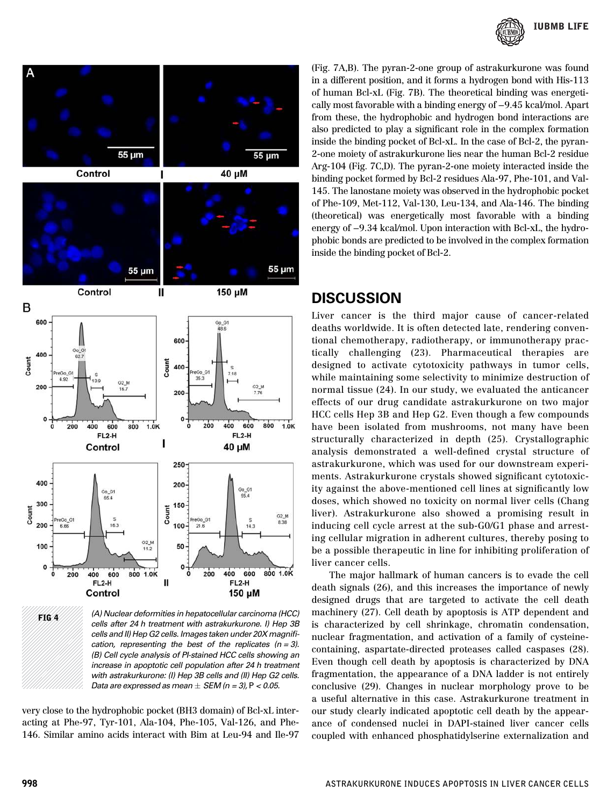



*cells after 24 h treatment with astrakurkurone. I) Hep 3B cells and II) Hep G2 cells. Images taken under 20X magni*fi*cation, representing the best of the replicates (n = 3). (B) Cell cycle analysis of PI-stained HCC cells showing an increase in apoptotic cell population after 24 h treatment with astrakurkurone: (I) Hep 3B cells and (II) Hep G2 cells. Data are expressed as mean SEM (n = 3),* P *< 0.05.*

very close to the hydrophobic pocket (BH3 domain) of Bcl-xL interacting at Phe-97, Tyr-101, Ala-104, Phe-105, Val-126, and Phe-146. Similar amino acids interact with Bim at Leu-94 and Ile-97 (Fig. 7A,B). The pyran-2-one group of astrakurkurone was found in a different position, and it forms a hydrogen bond with His-113 of human Bcl-xL (Fig. 7B). The theoretical binding was energetically most favorable with a binding energy of −9.45 kcal/mol. Apart from these, the hydrophobic and hydrogen bond interactions are also predicted to play a significant role in the complex formation inside the binding pocket of Bcl-xL. In the case of Bcl-2, the pyran-2-one moiety of astrakurkurone lies near the human Bcl-2 residue Arg-104 (Fig. 7C,D). The pyran-2-one moiety interacted inside the binding pocket formed by Bcl-2 residues Ala-97, Phe-101, and Val-145. The lanostane moiety was observed in the hydrophobic pocket of Phe-109, Met-112, Val-130, Leu-134, and Ala-146. The binding (theoretical) was energetically most favorable with a binding energy of −9.34 kcal/mol. Upon interaction with Bcl-xL, the hydrophobic bonds are predicted to be involved in the complex formation inside the binding pocket of Bcl-2.

#### **DISCUSSION**

Liver cancer is the third major cause of cancer-related deaths worldwide. It is often detected late, rendering conventional chemotherapy, radiotherapy, or immunotherapy practically challenging (23). Pharmaceutical therapies are designed to activate cytotoxicity pathways in tumor cells, while maintaining some selectivity to minimize destruction of normal tissue (24). In our study, we evaluated the anticancer effects of our drug candidate astrakurkurone on two major HCC cells Hep 3B and Hep G2. Even though a few compounds have been isolated from mushrooms, not many have been structurally characterized in depth (25). Crystallographic analysis demonstrated a well-defined crystal structure of astrakurkurone, which was used for our downstream experiments. Astrakurkurone crystals showed significant cytotoxicity against the above-mentioned cell lines at significantly low doses, which showed no toxicity on normal liver cells (Chang liver). Astrakurkurone also showed a promising result in inducing cell cycle arrest at the sub-G0/G1 phase and arresting cellular migration in adherent cultures, thereby posing to be a possible therapeutic in line for inhibiting proliferation of liver cancer cells.

The major hallmark of human cancers is to evade the cell death signals (26), and this increases the importance of newly designed drugs that are targeted to activate the cell death machinery (27). Cell death by apoptosis is ATP dependent and is characterized by cell shrinkage, chromatin condensation, nuclear fragmentation, and activation of a family of cysteinecontaining, aspartate-directed proteases called caspases (28). Even though cell death by apoptosis is characterized by DNA fragmentation, the appearance of a DNA ladder is not entirely conclusive (29). Changes in nuclear morphology prove to be a useful alternative in this case. Astrakurkurone treatment in our study clearly indicated apoptotic cell death by the appearance of condensed nuclei in DAPI-stained liver cancer cells coupled with enhanced phosphatidylserine externalization and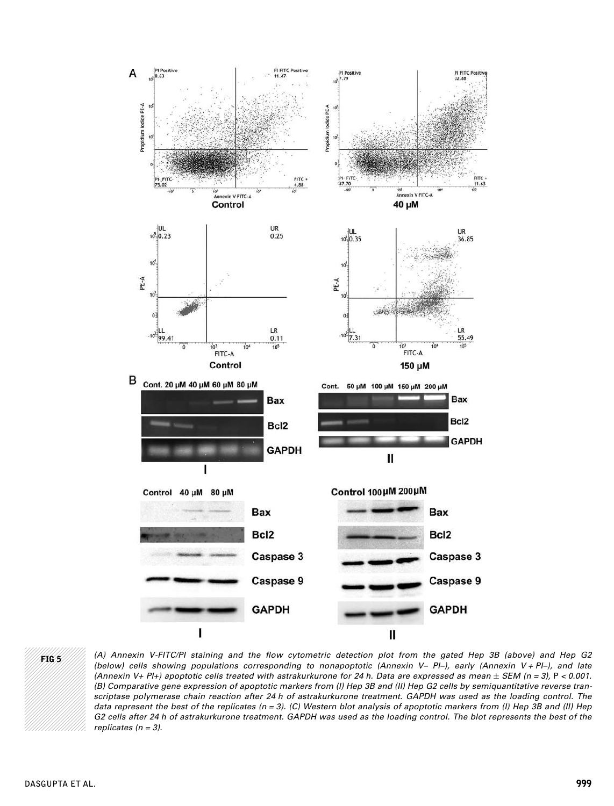



FIG 5 *(A) Annexin V-FITC/PI staining and the* fl*ow cytometric detection plot from the gated Hep 3B (above) and Hep G2 (below) cells showing populations corresponding to nonapoptotic (Annexin V*– *PI*–*), early (Annexin V + PI*–*), and late (Annexin V+ PI+) apoptotic cells treated with astrakurkurone for 24 h. Data are expressed as mean SEM (n = 3),* P *< 0.001. (B) Comparative gene expression of apoptotic markers from (I) Hep 3B and (II) Hep G2 cells by semiquantitative reverse transcriptase polymerase chain reaction after 24 h of astrakurkurone treatment. GAPDH was used as the loading control. The data represent the best of the replicates (n = 3). (C) Western blot analysis of apoptotic markers from (I) Hep 3B and (II) Hep G2 cells after 24 h of astrakurkurone treatment. GAPDH was used as the loading control. The blot represents the best of the replicates (n = 3).*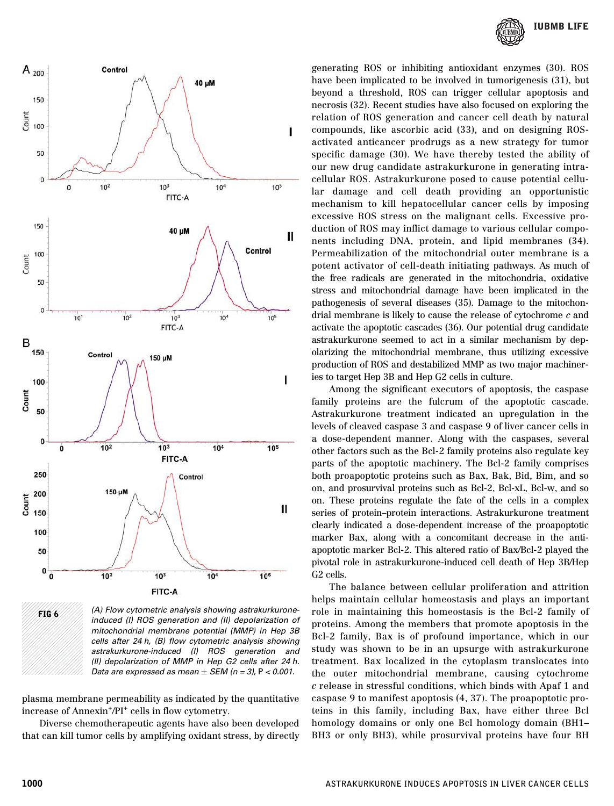

FIG 6 *(A) Flow cytometric analysis showing astrakurkuroneinduced (I) ROS generation and (II) depolarization of mitochondrial membrane potential (MMP) in Hep 3B cells after 24 h, (B)* fl*ow cytometric analysis showing astrakurkurone-induced (I) ROS generation and (II) depolarization of MMP in Hep G2 cells after 24 h. Data are expressed as mean SEM (n = 3),* P *< 0.001.*

plasma membrane permeability as indicated by the quantitative increase of Annexin<sup>+</sup>/PI<sup>+</sup> cells in flow cytometry.

Diverse chemotherapeutic agents have also been developed that can kill tumor cells by amplifying oxidant stress, by directly



generating ROS or inhibiting antioxidant enzymes (30). ROS have been implicated to be involved in tumorigenesis (31), but beyond a threshold, ROS can trigger cellular apoptosis and necrosis (32). Recent studies have also focused on exploring the relation of ROS generation and cancer cell death by natural compounds, like ascorbic acid (33), and on designing ROSactivated anticancer prodrugs as a new strategy for tumor specific damage (30). We have thereby tested the ability of our new drug candidate astrakurkurone in generating intracellular ROS. Astrakurkurone posed to cause potential cellular damage and cell death providing an opportunistic mechanism to kill hepatocellular cancer cells by imposing excessive ROS stress on the malignant cells. Excessive production of ROS may inflict damage to various cellular components including DNA, protein, and lipid membranes (34). Permeabilization of the mitochondrial outer membrane is a potent activator of cell-death initiating pathways. As much of the free radicals are generated in the mitochondria, oxidative stress and mitochondrial damage have been implicated in the pathogenesis of several diseases (35). Damage to the mitochondrial membrane is likely to cause the release of cytochrome c and activate the apoptotic cascades (36). Our potential drug candidate astrakurkurone seemed to act in a similar mechanism by depolarizing the mitochondrial membrane, thus utilizing excessive production of ROS and destabilized MMP as two major machineries to target Hep 3B and Hep G2 cells in culture.

Among the significant executors of apoptosis, the caspase family proteins are the fulcrum of the apoptotic cascade. Astrakurkurone treatment indicated an upregulation in the levels of cleaved caspase 3 and caspase 9 of liver cancer cells in a dose-dependent manner. Along with the caspases, several other factors such as the Bcl-2 family proteins also regulate key parts of the apoptotic machinery. The Bcl-2 family comprises both proapoptotic proteins such as Bax, Bak, Bid, Bim, and so on, and prosurvival proteins such as Bcl-2, Bcl-xL, Bcl-w, and so on. These proteins regulate the fate of the cells in a complex series of protein–protein interactions. Astrakurkurone treatment clearly indicated a dose-dependent increase of the proapoptotic marker Bax, along with a concomitant decrease in the antiapoptotic marker Bcl-2. This altered ratio of Bax/Bcl-2 played the pivotal role in astrakurkurone-induced cell death of Hep 3B/Hep G2 cells.

The balance between cellular proliferation and attrition helps maintain cellular homeostasis and plays an important role in maintaining this homeostasis is the Bcl-2 family of proteins. Among the members that promote apoptosis in the Bcl-2 family, Bax is of profound importance, which in our study was shown to be in an upsurge with astrakurkurone treatment. Bax localized in the cytoplasm translocates into the outer mitochondrial membrane, causing cytochrome c release in stressful conditions, which binds with Apaf 1 and caspase 9 to manifest apoptosis (4, 37). The proapoptotic proteins in this family, including Bax, have either three Bcl homology domains or only one Bcl homology domain (BH1– BH3 or only BH3), while prosurvival proteins have four BH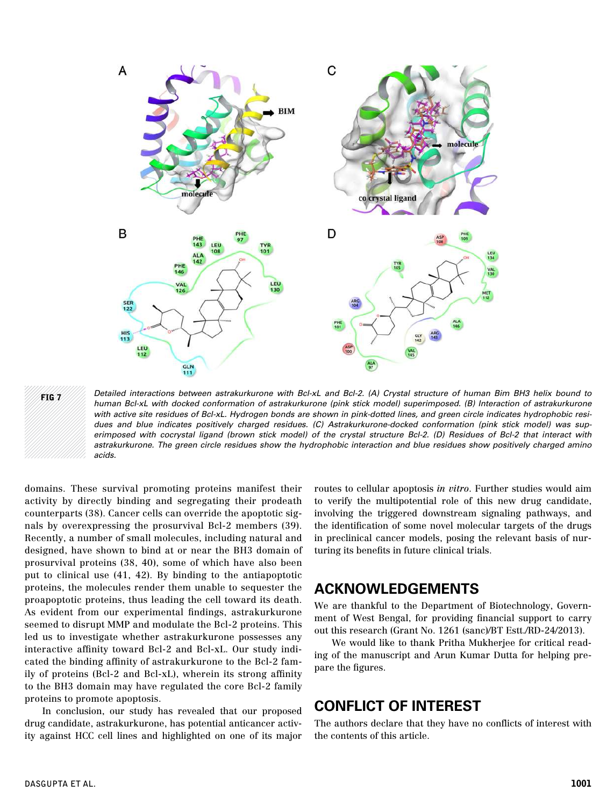



FIG 7 *Detailed interactions between astrakurkurone with Bcl-xL and Bcl-2. (A) Crystal structure of human Bim BH3 helix bound to human Bcl-xL with docked conformation of astrakurkurone (pink stick model) superimposed. (B) Interaction of astrakurkurone with active site residues of Bcl-xL. Hydrogen bonds are shown in pink-dotted lines, and green circle indicates hydrophobic residues and blue indicates positively charged residues. (C) Astrakurkurone-docked conformation (pink stick model) was superimposed with cocrystal ligand (brown stick model) of the crystal structure Bcl-2. (D) Residues of Bcl-2 that interact with astrakurkurone. The green circle residues show the hydrophobic interaction and blue residues show positively charged amino acids.*

domains. These survival promoting proteins manifest their activity by directly binding and segregating their prodeath counterparts (38). Cancer cells can override the apoptotic signals by overexpressing the prosurvival Bcl-2 members (39). Recently, a number of small molecules, including natural and designed, have shown to bind at or near the BH3 domain of prosurvival proteins (38, 40), some of which have also been put to clinical use (41, 42). By binding to the antiapoptotic proteins, the molecules render them unable to sequester the proapoptotic proteins, thus leading the cell toward its death. As evident from our experimental findings, astrakurkurone seemed to disrupt MMP and modulate the Bcl-2 proteins. This led us to investigate whether astrakurkurone possesses any interactive affinity toward Bcl-2 and Bcl-xL. Our study indicated the binding affinity of astrakurkurone to the Bcl-2 family of proteins (Bcl-2 and Bcl-xL), wherein its strong affinity to the BH3 domain may have regulated the core Bcl-2 family proteins to promote apoptosis.

In conclusion, our study has revealed that our proposed drug candidate, astrakurkurone, has potential anticancer activity against HCC cell lines and highlighted on one of its major

routes to cellular apoptosis *in vitro*. Further studies would aim to verify the multipotential role of this new drug candidate, involving the triggered downstream signaling pathways, and the identification of some novel molecular targets of the drugs in preclinical cancer models, posing the relevant basis of nurturing its benefits in future clinical trials.

### ACKNOWLEDGEMENTS

We are thankful to the Department of Biotechnology, Government of West Bengal, for providing financial support to carry out this research (Grant No. 1261 (sanc)/BT Estt./RD-24/2013).

We would like to thank Pritha Mukherjee for critical reading of the manuscript and Arun Kumar Dutta for helping prepare the figures.

### CONFLICT OF INTEREST

The authors declare that they have no conflicts of interest with the contents of this article.